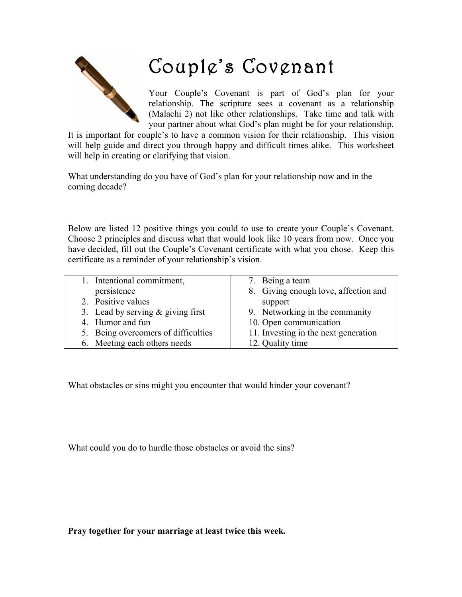

## Couple's Covenant

Your Couple's Covenant is part of God's plan for your relationship. The scripture sees a covenant as a relationship (Malachi 2) not like other relationships. Take time and talk with your partner about what God's plan might be for your relationship.

It is important for couple's to have a common vision for their relationship. This vision will help guide and direct you through happy and difficult times alike. This worksheet will help in creating or clarifying that vision.

What understanding do you have of God's plan for your relationship now and in the coming decade?

Below are listed 12 positive things you could to use to create your Couple's Covenant. Choose 2 principles and discuss what that would look like 10 years from now. Once you have decided, fill out the Couple's Covenant certificate with what you chose. Keep this certificate as a reminder of your relationship's vision.

| 1. Intentional commitment,          | 7. Being a team                      |
|-------------------------------------|--------------------------------------|
| persistence                         | 8. Giving enough love, affection and |
| 2. Positive values                  | support                              |
| 3. Lead by serving $&$ giving first | 9. Networking in the community       |
| 4. Humor and fun                    | 10. Open communication               |
| 5. Being overcomers of difficulties | 11. Investing in the next generation |
| 6. Meeting each others needs        | 12. Quality time                     |
|                                     |                                      |

What obstacles or sins might you encounter that would hinder your covenant?

What could you do to hurdle those obstacles or avoid the sins?

**Pray together for your marriage at least twice this week.**